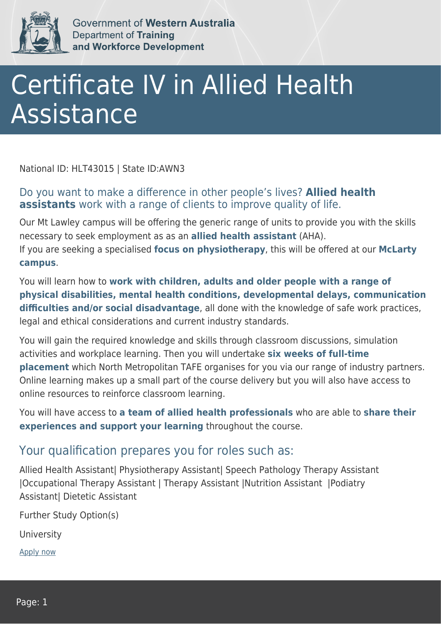

Government of Western Australia **Department of Training** and Workforce Development

## Certificate IV in Allied Health Assistance

National ID: HLT43015 | State ID:AWN3

## Do you want to make a difference in other people's lives? **Allied health assistants** work with a range of clients to improve quality of life.

Our Mt Lawley campus will be offering the generic range of units to provide you with the skills necessary to seek employment as as an **allied health assistant** (AHA). If you are seeking a specialised **focus on physiotherapy**, this will be offered at our **McLarty campus**.

You will learn how to **work with children, adults and older people with a range of physical disabilities, mental health conditions, developmental delays, communication difficulties and/or social disadvantage**, all done with the knowledge of safe work practices, legal and ethical considerations and current industry standards.

You will gain the required knowledge and skills through classroom discussions, simulation activities and workplace learning. Then you will undertake **six weeks of full-time placement** which North Metropolitan TAFE organises for you via our range of industry partners. Online learning makes up a small part of the course delivery but you will also have access to online resources to reinforce classroom learning.

You will have access to **a team of allied health professionals** who are able to **share their experiences and support your learning** throughout the course.

## Your qualification prepares you for roles such as:

Allied Health Assistant| Physiotherapy Assistant| Speech Pathology Therapy Assistant |Occupational Therapy Assistant | Therapy Assistant |Nutrition Assistant |Podiatry Assistant| Dietetic Assistant

Further Study Option(s)

**University** 

[Apply now](https://tasonline.tafe.wa.edu.au/Default.aspx)